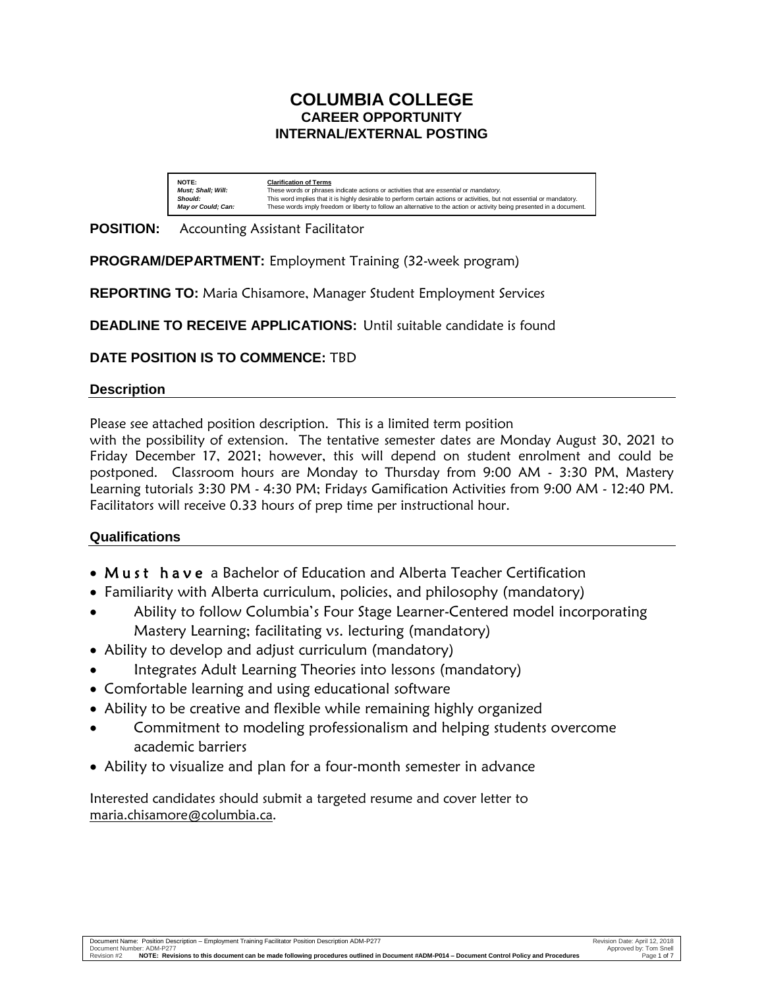# **COLUMBIA COLLEGE CAREER OPPORTUNITY INTERNAL/EXTERNAL POSTING**

| NOTE:                     | <b>Clarification of Terms</b>                                                                                           |
|---------------------------|-------------------------------------------------------------------------------------------------------------------------|
| <b>Must: Shall: Will:</b> | These words or phrases indicate actions or activities that are essential or mandatory.                                  |
| Should:                   | This word implies that it is highly desirable to perform certain actions or activities, but not essential or mandatory, |
| <b>May or Could: Can:</b> | These words imply freedom or liberty to follow an alternative to the action or activity being presented in a document.  |

## **POSITION:** Accounting Assistant Facilitator

**PROGRAM/DEPARTMENT:** Employment Training (32-week program)

**REPORTING TO:** Maria Chisamore, Manager Student Employment Services

**DEADLINE TO RECEIVE APPLICATIONS:** Until suitable candidate is found

## **DATE POSITION IS TO COMMENCE:** TBD

### **Description**

Please see attached position description. This is a limited term position

with the possibility of extension. The tentative semester dates are Monday August 30, 2021 to Friday December 17, 2021; however, this will depend on student enrolment and could be postponed. Classroom hours are Monday to Thursday from 9:00 AM - 3:30 PM, Mastery Learning tutorials 3:30 PM - 4:30 PM; Fridays Gamification Activities from 9:00 AM - 12:40 PM. Facilitators will receive 0.33 hours of prep time per instructional hour.

### **Qualifications**

- Must have a Bachelor of Education and Alberta Teacher Certification
- Familiarity with Alberta curriculum, policies, and philosophy (mandatory)
- Ability to follow Columbia's Four Stage Learner-Centered model incorporating Mastery Learning; facilitating vs. lecturing (mandatory)
- Ability to develop and adjust curriculum (mandatory)
- Integrates Adult Learning Theories into lessons (mandatory)
- Comfortable learning and using educational software
- Ability to be creative and flexible while remaining highly organized
- Commitment to modeling professionalism and helping students overcome academic barriers
- Ability to visualize and plan for a four-month semester in advance

Interested candidates should submit a targeted resume and cover letter to maria.chisamore@columbia.ca.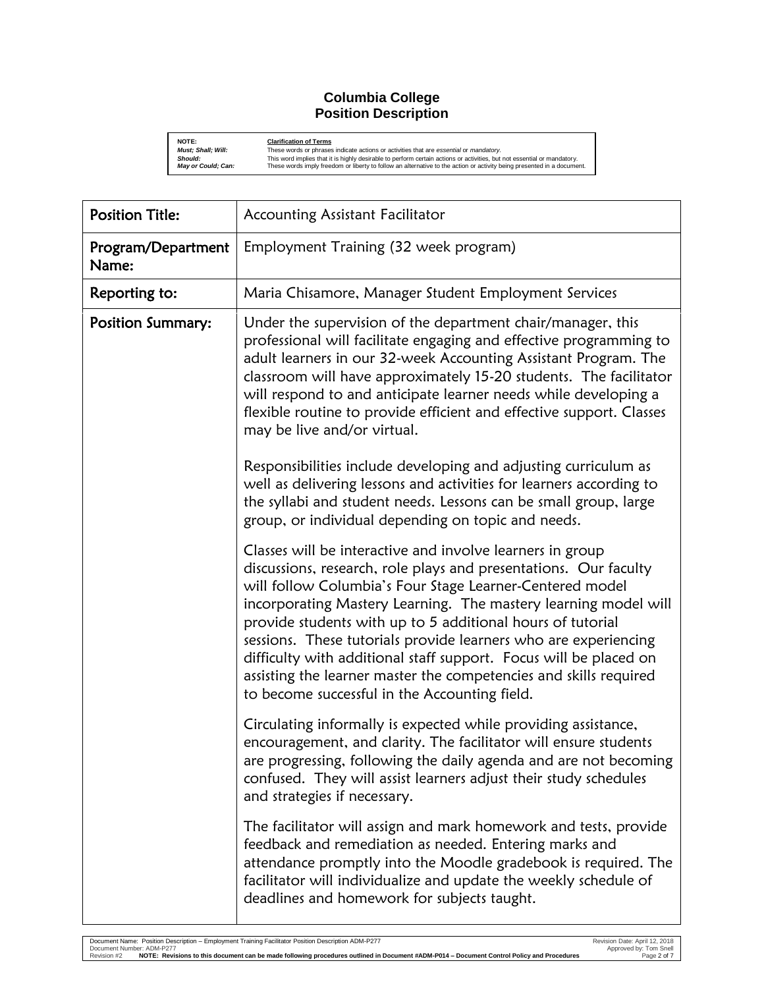### **Columbia College Position Description**

**NOTE:**<br> **Clarification of Terms**<br> **Should:** This words or phrases<br> **Should:** This word implies that it<br> **May or Could; Can:** These words imply free **Must; Shall; Will:** These words or phrases indicate actions or activities that are esse*ntial* or *mandatory.*<br>Sho**uld: Only an** This word implies that it is highly desirable to perform certain actions or activities, but

| <b>Position Title:</b>      | Accounting Assistant Facilitator                                                                                                                                                                                                                                                                                                                                                                                                                                                                                                                                                         |
|-----------------------------|------------------------------------------------------------------------------------------------------------------------------------------------------------------------------------------------------------------------------------------------------------------------------------------------------------------------------------------------------------------------------------------------------------------------------------------------------------------------------------------------------------------------------------------------------------------------------------------|
| Program/Department<br>Name: | Employment Training (32 week program)                                                                                                                                                                                                                                                                                                                                                                                                                                                                                                                                                    |
| Reporting to:               | Maria Chisamore, Manager Student Employment Services                                                                                                                                                                                                                                                                                                                                                                                                                                                                                                                                     |
| <b>Position Summary:</b>    | Under the supervision of the department chair/manager, this<br>professional will facilitate engaging and effective programming to<br>adult learners in our 32-week Accounting Assistant Program. The<br>classroom will have approximately 15-20 students. The facilitator<br>will respond to and anticipate learner needs while developing a<br>flexible routine to provide efficient and effective support. Classes<br>may be live and/or virtual.                                                                                                                                      |
|                             | Responsibilities include developing and adjusting curriculum as<br>well as delivering lessons and activities for learners according to<br>the syllabi and student needs. Lessons can be small group, large<br>group, or individual depending on topic and needs.                                                                                                                                                                                                                                                                                                                         |
|                             | Classes will be interactive and involve learners in group<br>discussions, research, role plays and presentations. Our faculty<br>will follow Columbia's Four Stage Learner-Centered model<br>incorporating Mastery Learning. The mastery learning model will<br>provide students with up to 5 additional hours of tutorial<br>sessions. These tutorials provide learners who are experiencing<br>difficulty with additional staff support. Focus will be placed on<br>assisting the learner master the competencies and skills required<br>to become successful in the Accounting field. |
|                             | Circulating informally is expected while providing assistance,<br>encouragement, and clarity. The facilitator will ensure students<br>are progressing, following the daily agenda and are not becoming<br>confused. They will assist learners adjust their study schedules<br>and strategies if necessary.                                                                                                                                                                                                                                                                               |
|                             | The facilitator will assign and mark homework and tests, provide<br>feedback and remediation as needed. Entering marks and<br>attendance promptly into the Moodle gradebook is required. The<br>facilitator will individualize and update the weekly schedule of<br>deadlines and homework for subjects taught.                                                                                                                                                                                                                                                                          |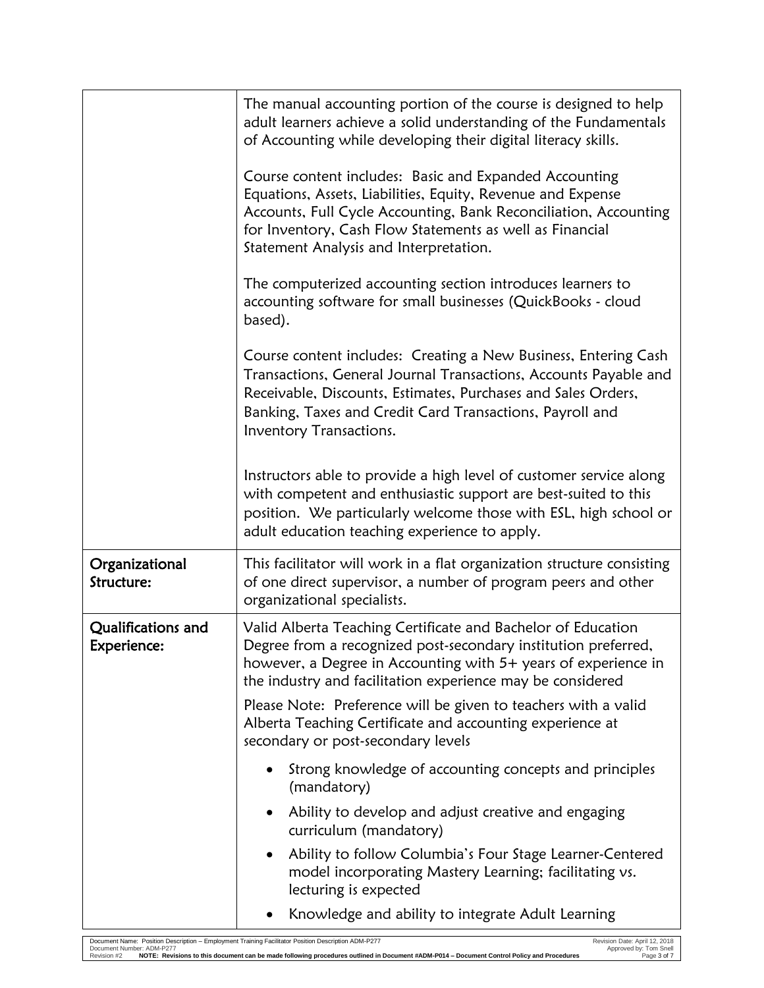|                                   | The manual accounting portion of the course is designed to help<br>adult learners achieve a solid understanding of the Fundamentals<br>of Accounting while developing their digital literacy skills.                                                                                            |
|-----------------------------------|-------------------------------------------------------------------------------------------------------------------------------------------------------------------------------------------------------------------------------------------------------------------------------------------------|
|                                   | Course content includes: Basic and Expanded Accounting<br>Equations, Assets, Liabilities, Equity, Revenue and Expense<br>Accounts, Full Cycle Accounting, Bank Reconciliation, Accounting<br>for Inventory, Cash Flow Statements as well as Financial<br>Statement Analysis and Interpretation. |
|                                   | The computerized accounting section introduces learners to<br>accounting software for small businesses (QuickBooks - cloud<br>based).                                                                                                                                                           |
|                                   | Course content includes: Creating a New Business, Entering Cash<br>Transactions, General Journal Transactions, Accounts Payable and<br>Receivable, Discounts, Estimates, Purchases and Sales Orders,<br>Banking, Taxes and Credit Card Transactions, Payroll and<br>Inventory Transactions.     |
|                                   | Instructors able to provide a high level of customer service along<br>with competent and enthusiastic support are best-suited to this<br>position. We particularly welcome those with ESL, high school or<br>adult education teaching experience to apply.                                      |
| Organizational<br>Structure:      | This facilitator will work in a flat organization structure consisting<br>of one direct supervisor, a number of program peers and other<br>organizational specialists.                                                                                                                          |
| Qualifications and<br>Experience: | Valid Alberta Teaching Certificate and Bachelor of Education<br>Degree from a recognized post-secondary institution preferred.<br>however, a Degree in Accounting with 5+ years of experience in<br>the industry and facilitation experience may be considered                                  |
|                                   | Please Note: Preference will be given to teachers with a valid<br>Alberta Teaching Certificate and accounting experience at<br>secondary or post-secondary levels                                                                                                                               |
|                                   | Strong knowledge of accounting concepts and principles<br>(mandatory)                                                                                                                                                                                                                           |
|                                   | Ability to develop and adjust creative and engaging<br>curriculum (mandatory)                                                                                                                                                                                                                   |
|                                   | Ability to follow Columbia's Four Stage Learner-Centered<br>$\bullet$<br>model incorporating Mastery Learning; facilitating vs.<br>lecturing is expected                                                                                                                                        |
|                                   | Knowledge and ability to integrate Adult Learning                                                                                                                                                                                                                                               |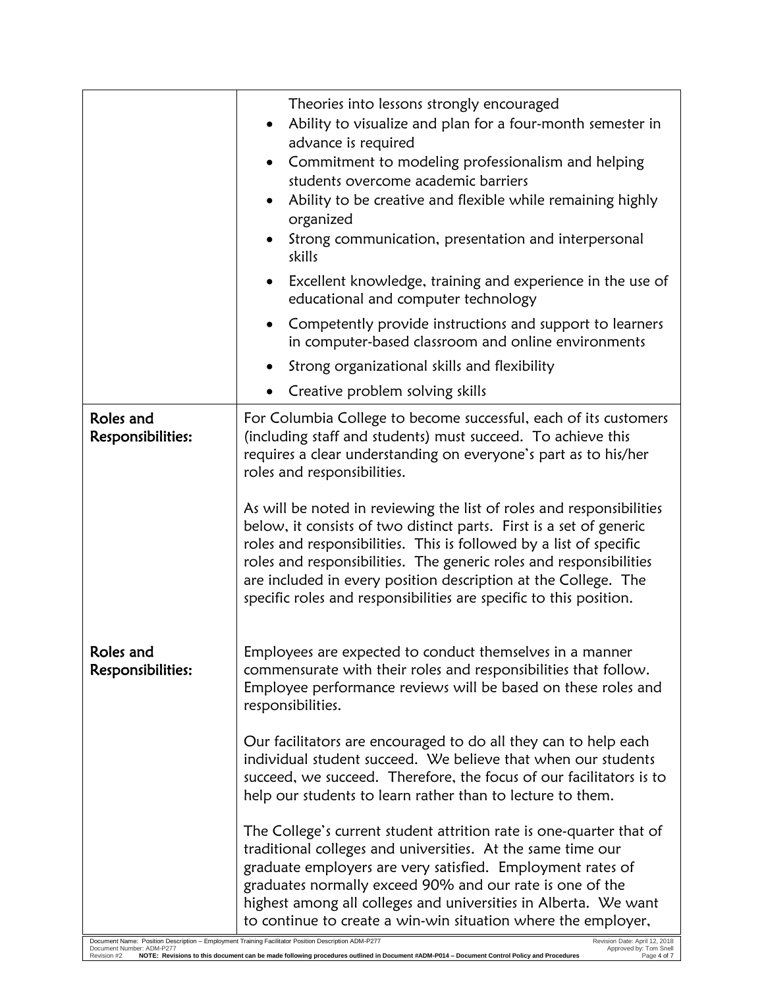|                                                                                                                                  | Theories into lessons strongly encouraged<br>Ability to visualize and plan for a four-month semester in<br>advance is required<br>Commitment to modeling professionalism and helping<br>students overcome academic barriers<br>Ability to be creative and flexible while remaining highly<br>organized<br>Strong communication, presentation and interpersonal<br>skills                                                                                    |
|----------------------------------------------------------------------------------------------------------------------------------|-------------------------------------------------------------------------------------------------------------------------------------------------------------------------------------------------------------------------------------------------------------------------------------------------------------------------------------------------------------------------------------------------------------------------------------------------------------|
|                                                                                                                                  | Excellent knowledge, training and experience in the use of<br>educational and computer technology                                                                                                                                                                                                                                                                                                                                                           |
|                                                                                                                                  | Competently provide instructions and support to learners<br>in computer-based classroom and online environments                                                                                                                                                                                                                                                                                                                                             |
|                                                                                                                                  | Strong organizational skills and flexibility                                                                                                                                                                                                                                                                                                                                                                                                                |
|                                                                                                                                  | Creative problem solving skills                                                                                                                                                                                                                                                                                                                                                                                                                             |
| Roles and<br>Responsibilities:                                                                                                   | For Columbia College to become successful, each of its customers<br>(including staff and students) must succeed. To achieve this<br>requires a clear understanding on everyone's part as to his/her<br>roles and responsibilities.                                                                                                                                                                                                                          |
|                                                                                                                                  | As will be noted in reviewing the list of roles and responsibilities<br>below, it consists of two distinct parts. First is a set of generic<br>roles and responsibilities. This is followed by a list of specific<br>roles and responsibilities. The generic roles and responsibilities<br>are included in every position description at the College. The<br>specific roles and responsibilities are specific to this position.                             |
| Roles and<br>Responsibilities:                                                                                                   | Employees are expected to conduct themselves in a manner<br>commensurate with their roles and responsibilities that follow.<br>Employee performance reviews will be based on these roles and<br>responsibilities.                                                                                                                                                                                                                                           |
|                                                                                                                                  | Our facilitators are encouraged to do all they can to help each<br>individual student succeed. We believe that when our students<br>succeed, we succeed. Therefore, the focus of our facilitators is to<br>help our students to learn rather than to lecture to them.                                                                                                                                                                                       |
| Document Name: Position Description - Employment Training Facilitator Position Description ADM-P277<br>Document Number: ADM-P277 | The College's current student attrition rate is one-quarter that of<br>traditional colleges and universities. At the same time our<br>graduate employers are very satisfied. Employment rates of<br>graduates normally exceed 90% and our rate is one of the<br>highest among all colleges and universities in Alberta. We want<br>to continue to create a win-win situation where the employer,<br>Revision Date: April 12, 2018<br>Approved by: Tom Snell |

l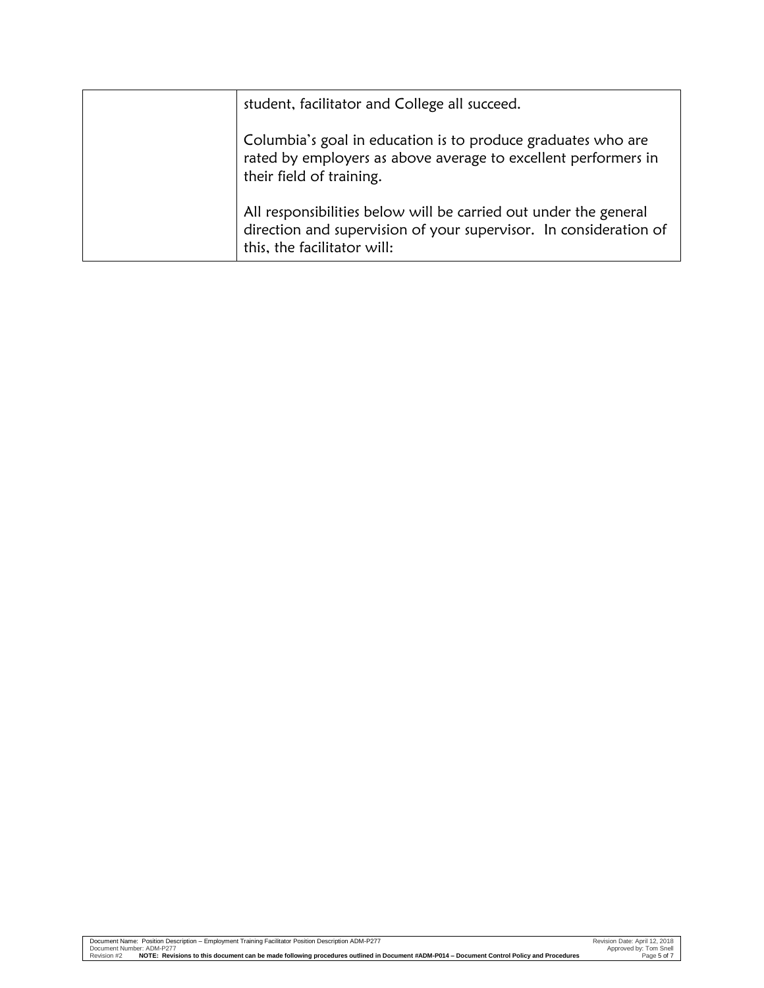| student, facilitator and College all succeed.                                                                                                                        |
|----------------------------------------------------------------------------------------------------------------------------------------------------------------------|
| Columbia's goal in education is to produce graduates who are<br>rated by employers as above average to excellent performers in<br>their field of training.           |
| All responsibilities below will be carried out under the general<br>direction and supervision of your supervisor. In consideration of<br>this, the facilitator will: |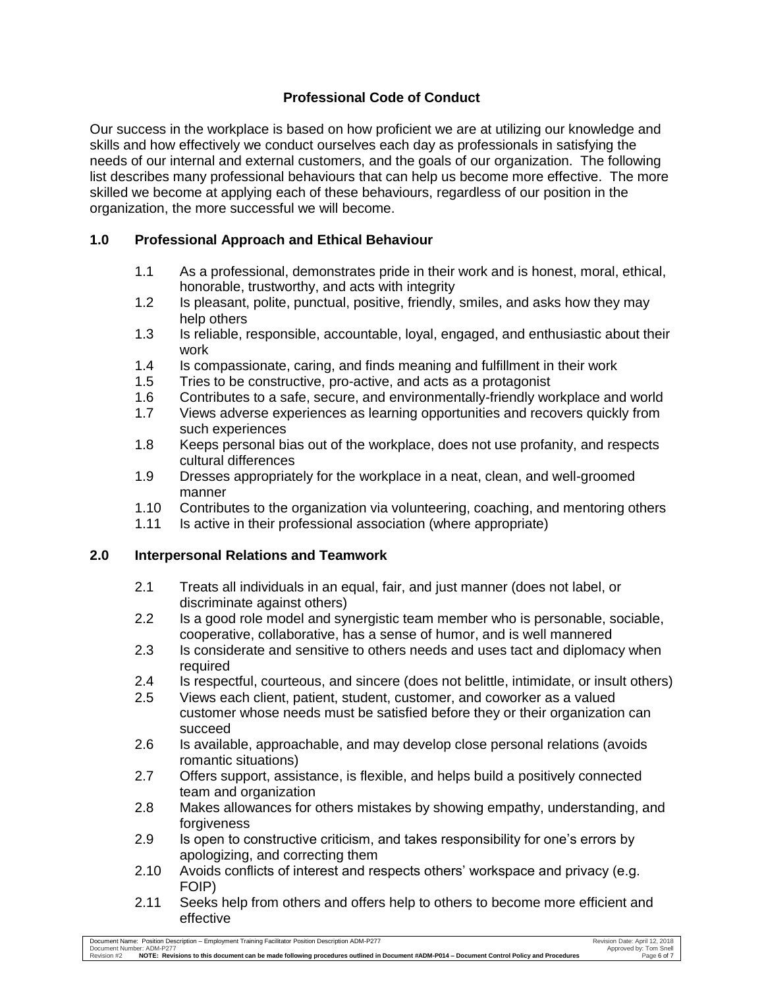# **Professional Code of Conduct**

Our success in the workplace is based on how proficient we are at utilizing our knowledge and skills and how effectively we conduct ourselves each day as professionals in satisfying the needs of our internal and external customers, and the goals of our organization. The following list describes many professional behaviours that can help us become more effective. The more skilled we become at applying each of these behaviours, regardless of our position in the organization, the more successful we will become.

## **1.0 Professional Approach and Ethical Behaviour**

- 1.1 As a professional, demonstrates pride in their work and is honest, moral, ethical, honorable, trustworthy, and acts with integrity
- 1.2 Is pleasant, polite, punctual, positive, friendly, smiles, and asks how they may help others
- 1.3 Is reliable, responsible, accountable, loyal, engaged, and enthusiastic about their work
- 1.4 Is compassionate, caring, and finds meaning and fulfillment in their work
- 1.5 Tries to be constructive, pro-active, and acts as a protagonist
- 1.6 Contributes to a safe, secure, and environmentally-friendly workplace and world
- 1.7 Views adverse experiences as learning opportunities and recovers quickly from such experiences
- 1.8 Keeps personal bias out of the workplace, does not use profanity, and respects cultural differences
- 1.9 Dresses appropriately for the workplace in a neat, clean, and well-groomed manner
- 1.10 Contributes to the organization via volunteering, coaching, and mentoring others
- 1.11 Is active in their professional association (where appropriate)

### **2.0 Interpersonal Relations and Teamwork**

- 2.1 Treats all individuals in an equal, fair, and just manner (does not label, or discriminate against others)
- 2.2 Is a good role model and synergistic team member who is personable, sociable, cooperative, collaborative, has a sense of humor, and is well mannered
- 2.3 Is considerate and sensitive to others needs and uses tact and diplomacy when required
- 2.4 Is respectful, courteous, and sincere (does not belittle, intimidate, or insult others)
- 2.5 Views each client, patient, student, customer, and coworker as a valued customer whose needs must be satisfied before they or their organization can succeed
- 2.6 Is available, approachable, and may develop close personal relations (avoids romantic situations)
- 2.7 Offers support, assistance, is flexible, and helps build a positively connected team and organization
- 2.8 Makes allowances for others mistakes by showing empathy, understanding, and forgiveness
- 2.9 Is open to constructive criticism, and takes responsibility for one's errors by apologizing, and correcting them
- 2.10 Avoids conflicts of interest and respects others' workspace and privacy (e.g. FOIP)
- 2.11 Seeks help from others and offers help to others to become more efficient and effective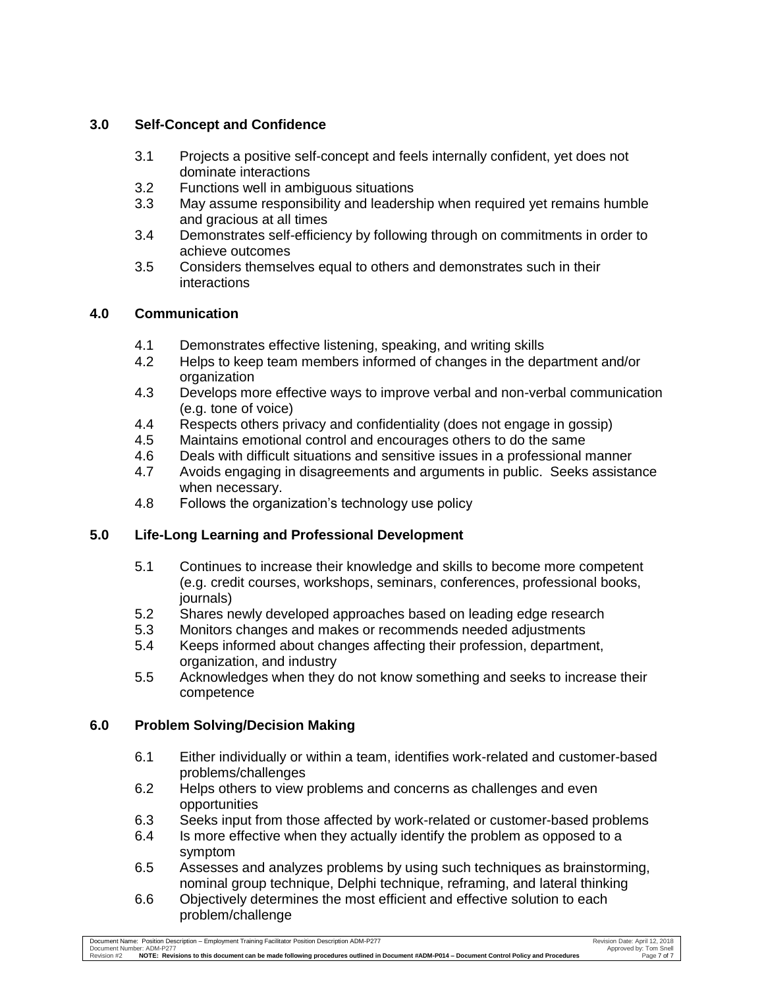# **3.0 Self-Concept and Confidence**

- 3.1 Projects a positive self-concept and feels internally confident, yet does not dominate interactions
- 3.2 Functions well in ambiguous situations
- 3.3 May assume responsibility and leadership when required yet remains humble and gracious at all times
- 3.4 Demonstrates self-efficiency by following through on commitments in order to achieve outcomes
- 3.5 Considers themselves equal to others and demonstrates such in their interactions

## **4.0 Communication**

- 4.1 Demonstrates effective listening, speaking, and writing skills
- 4.2 Helps to keep team members informed of changes in the department and/or organization
- 4.3 Develops more effective ways to improve verbal and non-verbal communication (e.g. tone of voice)
- 4.4 Respects others privacy and confidentiality (does not engage in gossip)
- 4.5 Maintains emotional control and encourages others to do the same
- 4.6 Deals with difficult situations and sensitive issues in a professional manner
- 4.7 Avoids engaging in disagreements and arguments in public. Seeks assistance when necessary.
- 4.8 Follows the organization's technology use policy

# **5.0 Life-Long Learning and Professional Development**

- 5.1 Continues to increase their knowledge and skills to become more competent (e.g. credit courses, workshops, seminars, conferences, professional books, journals)
- 5.2 Shares newly developed approaches based on leading edge research
- 5.3 Monitors changes and makes or recommends needed adjustments
- 5.4 Keeps informed about changes affecting their profession, department, organization, and industry
- 5.5 Acknowledges when they do not know something and seeks to increase their competence

# **6.0 Problem Solving/Decision Making**

- 6.1 Either individually or within a team, identifies work-related and customer-based problems/challenges
- 6.2 Helps others to view problems and concerns as challenges and even opportunities
- 6.3 Seeks input from those affected by work-related or customer-based problems
- 6.4 Is more effective when they actually identify the problem as opposed to a symptom
- 6.5 Assesses and analyzes problems by using such techniques as brainstorming, nominal group technique, Delphi technique, reframing, and lateral thinking
- 6.6 Objectively determines the most efficient and effective solution to each problem/challenge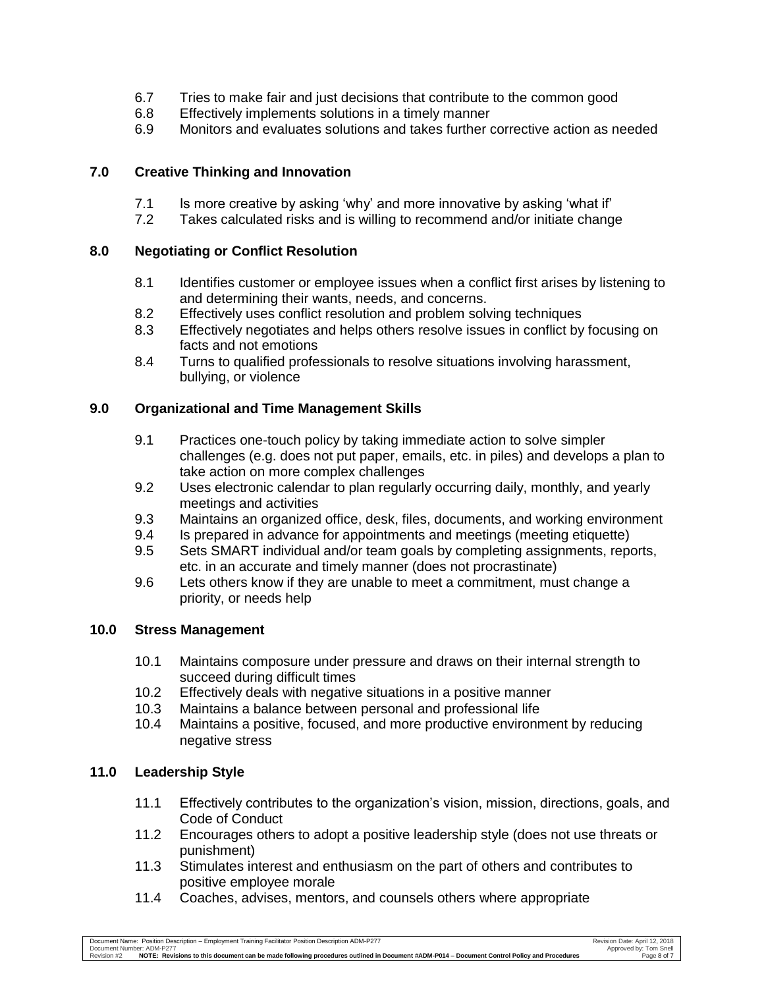- 6.7 Tries to make fair and just decisions that contribute to the common good
- 6.8 Effectively implements solutions in a timely manner
- 6.9 Monitors and evaluates solutions and takes further corrective action as needed

## **7.0 Creative Thinking and Innovation**

- 7.1 Is more creative by asking 'why' and more innovative by asking 'what if'
- 7.2 Takes calculated risks and is willing to recommend and/or initiate change

## **8.0 Negotiating or Conflict Resolution**

- 8.1 Identifies customer or employee issues when a conflict first arises by listening to and determining their wants, needs, and concerns.
- 8.2 Effectively uses conflict resolution and problem solving techniques
- 8.3 Effectively negotiates and helps others resolve issues in conflict by focusing on facts and not emotions
- 8.4 Turns to qualified professionals to resolve situations involving harassment, bullying, or violence

## **9.0 Organizational and Time Management Skills**

- 9.1 Practices one-touch policy by taking immediate action to solve simpler challenges (e.g. does not put paper, emails, etc. in piles) and develops a plan to take action on more complex challenges
- 9.2 Uses electronic calendar to plan regularly occurring daily, monthly, and yearly meetings and activities
- 9.3 Maintains an organized office, desk, files, documents, and working environment
- 9.4 Is prepared in advance for appointments and meetings (meeting etiquette)
- 9.5 Sets SMART individual and/or team goals by completing assignments, reports, etc. in an accurate and timely manner (does not procrastinate)
- 9.6 Lets others know if they are unable to meet a commitment, must change a priority, or needs help

### **10.0 Stress Management**

- 10.1 Maintains composure under pressure and draws on their internal strength to succeed during difficult times
- 10.2 Effectively deals with negative situations in a positive manner
- 10.3 Maintains a balance between personal and professional life
- 10.4 Maintains a positive, focused, and more productive environment by reducing negative stress

## **11.0 Leadership Style**

- 11.1 Effectively contributes to the organization's vision, mission, directions, goals, and Code of Conduct
- 11.2 Encourages others to adopt a positive leadership style (does not use threats or punishment)
- 11.3 Stimulates interest and enthusiasm on the part of others and contributes to positive employee morale
- 11.4 Coaches, advises, mentors, and counsels others where appropriate

Document Name: Position Description – Employment Training Facilitator Position Description ADM-P277 Revision Date: April 12, 2018 Revision Date: April 12, 2018 Document Number: ADM-P277 Approved by: Tom Snell Revision #2 **NOTE: Revisions to this document can be made following procedures outlined in Document #ADM-P014 – Document Control Policy and Procedures** Page 8 of 7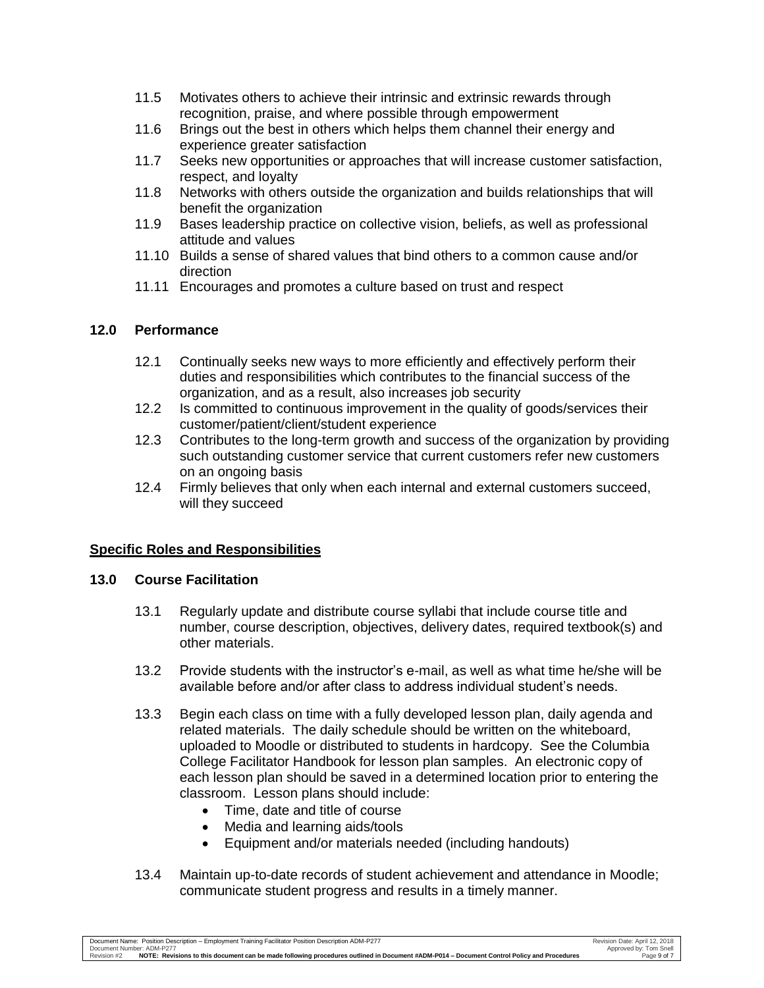- 11.5 Motivates others to achieve their intrinsic and extrinsic rewards through recognition, praise, and where possible through empowerment
- 11.6 Brings out the best in others which helps them channel their energy and experience greater satisfaction
- 11.7 Seeks new opportunities or approaches that will increase customer satisfaction, respect, and loyalty
- 11.8 Networks with others outside the organization and builds relationships that will benefit the organization
- 11.9 Bases leadership practice on collective vision, beliefs, as well as professional attitude and values
- 11.10 Builds a sense of shared values that bind others to a common cause and/or direction
- 11.11 Encourages and promotes a culture based on trust and respect

## **12.0 Performance**

- 12.1 Continually seeks new ways to more efficiently and effectively perform their duties and responsibilities which contributes to the financial success of the organization, and as a result, also increases job security
- 12.2 Is committed to continuous improvement in the quality of goods/services their customer/patient/client/student experience
- 12.3 Contributes to the long-term growth and success of the organization by providing such outstanding customer service that current customers refer new customers on an ongoing basis
- 12.4 Firmly believes that only when each internal and external customers succeed, will they succeed

## **Specific Roles and Responsibilities**

## **13.0 Course Facilitation**

- 13.1 Regularly update and distribute course syllabi that include course title and number, course description, objectives, delivery dates, required textbook(s) and other materials.
- 13.2 Provide students with the instructor's e-mail, as well as what time he/she will be available before and/or after class to address individual student's needs.
- 13.3 Begin each class on time with a fully developed lesson plan, daily agenda and related materials. The daily schedule should be written on the whiteboard, uploaded to Moodle or distributed to students in hardcopy. See the Columbia College Facilitator Handbook for lesson plan samples. An electronic copy of each lesson plan should be saved in a determined location prior to entering the classroom. Lesson plans should include:
	- Time, date and title of course
	- Media and learning aids/tools
	- Equipment and/or materials needed (including handouts)
- 13.4 Maintain up-to-date records of student achievement and attendance in Moodle; communicate student progress and results in a timely manner.